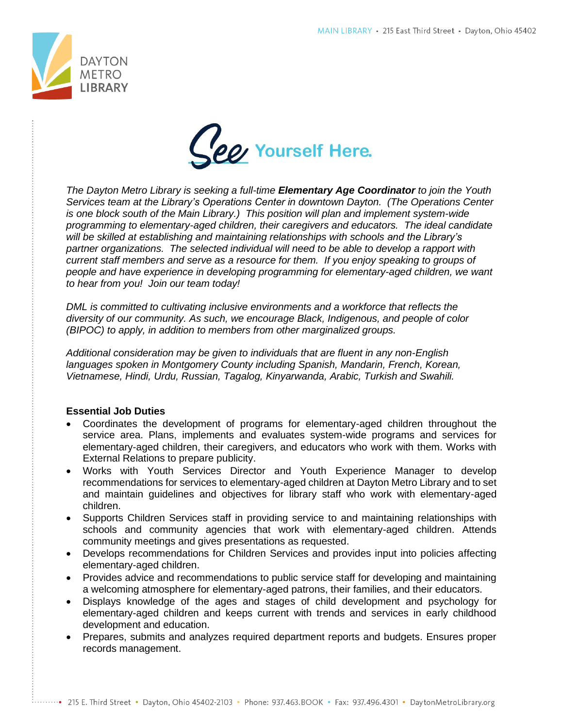



*The Dayton Metro Library is seeking a full-time Elementary Age Coordinator to join the Youth Services team at the Library's Operations Center in downtown Dayton. (The Operations Center is one block south of the Main Library.) This position will plan and implement system-wide programming to elementary-aged children, their caregivers and educators. The ideal candidate will be skilled at establishing and maintaining relationships with schools and the Library's partner organizations. The selected individual will need to be able to develop a rapport with current staff members and serve as a resource for them. If you enjoy speaking to groups of people and have experience in developing programming for elementary-aged children, we want to hear from you! Join our team today!*

*DML is committed to cultivating inclusive environments and a workforce that reflects the diversity of our community. As such, we encourage Black, Indigenous, and people of color (BIPOC) to apply, in addition to members from other marginalized groups.* 

*Additional consideration may be given to individuals that are fluent in any non-English languages spoken in Montgomery County including Spanish, Mandarin, French, Korean, Vietnamese, Hindi, Urdu, Russian, Tagalog, Kinyarwanda, Arabic, Turkish and Swahili.*

## **Essential Job Duties**

- Coordinates the development of programs for elementary-aged children throughout the service area. Plans, implements and evaluates system-wide programs and services for elementary-aged children, their caregivers, and educators who work with them. Works with External Relations to prepare publicity.
- Works with Youth Services Director and Youth Experience Manager to develop recommendations for services to elementary-aged children at Dayton Metro Library and to set and maintain guidelines and objectives for library staff who work with elementary-aged children.
- Supports Children Services staff in providing service to and maintaining relationships with schools and community agencies that work with elementary-aged children. Attends community meetings and gives presentations as requested.
- Develops recommendations for Children Services and provides input into policies affecting elementary-aged children.
- Provides advice and recommendations to public service staff for developing and maintaining a welcoming atmosphere for elementary-aged patrons, their families, and their educators.
- Displays knowledge of the ages and stages of child development and psychology for elementary-aged children and keeps current with trends and services in early childhood development and education.
- Prepares, submits and analyzes required department reports and budgets. Ensures proper records management.